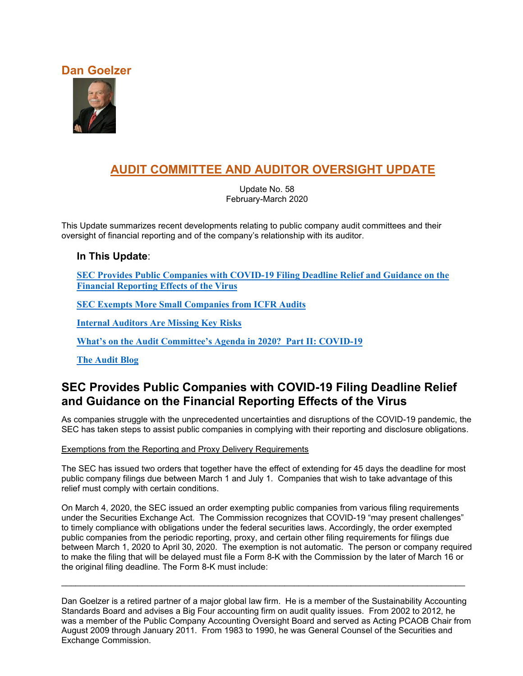### **Dan Goelzer**



# **AUDIT COMMITTEE AND AUDITOR OVERSIGHT UPDATE**

Update No. 58 February-March 2020

This Update summarizes recent developments relating to public company audit committees and their oversight of financial reporting and of the company's relationship with its auditor.

### **In This Update**:

**[SEC Provides Public Companies with COVID-19 Filing Deadline Relief and Guidance on the](#page-0-0)  [Financial Reporting](#page-0-0) Effects of the Virus**

**[SEC Exempts More Small Companies from ICFR Audits](#page-2-0)**

**[Internal Auditors Are Missing Key Risks](#page-4-0)**

**[What's on the Audit Committee's Agenda in 2020? Part II: COVID-19](#page-6-0)**

**[The Audit Blog](#page-10-0)**

## <span id="page-0-0"></span>**SEC Provides Public Companies with COVID-19 Filing Deadline Relief and Guidance on the Financial Reporting Effects of the Virus**

As companies struggle with the unprecedented uncertainties and disruptions of the COVID-19 pandemic, the SEC has taken steps to assist public companies in complying with their reporting and disclosure obligations.

Exemptions from the Reporting and Proxy Delivery Requirements

The SEC has issued two orders that together have the effect of extending for 45 days the deadline for most public company filings due between March 1 and July 1. Companies that wish to take advantage of this relief must comply with certain conditions.

On March 4, 2020, the SEC issued an order exempting public companies from various filing requirements under the Securities Exchange Act. The Commission recognizes that COVID-19 "may present challenges" to timely compliance with obligations under the federal securities laws. Accordingly, the order exempted public companies from the periodic reporting, proxy, and certain other filing requirements for filings due between March 1, 2020 to April 30, 2020. The exemption is not automatic. The person or company required to make the filing that will be delayed must file a Form 8-K with the Commission by the later of March 16 or the original filing deadline. The Form 8-K must include:

Dan Goelzer is a retired partner of a major global law firm. He is a member of the Sustainability Accounting Standards Board and advises a Big Four accounting firm on audit quality issues. From 2002 to 2012, he was a member of the Public Company Accounting Oversight Board and served as Acting PCAOB Chair from August 2009 through January 2011. From 1983 to 1990, he was General Counsel of the Securities and Exchange Commission.

\_\_\_\_\_\_\_\_\_\_\_\_\_\_\_\_\_\_\_\_\_\_\_\_\_\_\_\_\_\_\_\_\_\_\_\_\_\_\_\_\_\_\_\_\_\_\_\_\_\_\_\_\_\_\_\_\_\_\_\_\_\_\_\_\_\_\_\_\_\_\_\_\_\_\_\_\_\_\_\_\_\_\_\_\_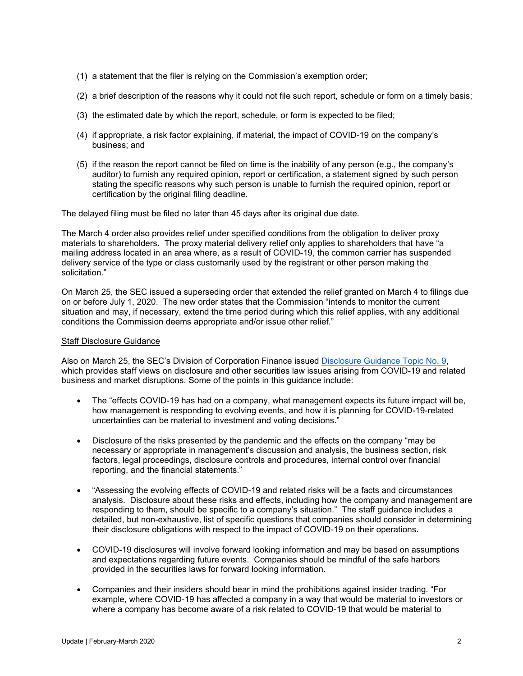- (1) a statement that the filer is relying on the Commission's exemption order;
- (2) a brief description of the reasons why it could not file such report, schedule or form on a timely basis;
- (3) the estimated date by which the report, schedule, or form is expected to be filed;
- (4) if appropriate, a risk factor explaining, if material, the impact of COVID-19 on the company's business; and
- (5) if the reason the report cannot be filed on time is the inability of any person (e.g., the company's auditor) to furnish any required opinion, report or certification, a statement signed by such person stating the specific reasons why such person is unable to furnish the required opinion, report or certification by the original filing deadline.

The delayed filing must be filed no later than 45 days after its original due date.

The March 4 order also provides relief under specified conditions from the obligation to deliver proxy materials to shareholders. The proxy material delivery relief only applies to shareholders that have "a mailing address located in an area where, as a result of COVID-19, the common carrier has suspended delivery service of the type or class customarily used by the registrant or other person making the solicitation."

On March 25, the SEC issued a superseding order that extended the relief granted on March 4 to filings due on or before July 1, 2020. The new order states that the Commission "intends to monitor the current situation and may, if necessary, extend the time period during which this relief applies, with any additional conditions the Commission deems appropriate and/or issue other relief."

#### Staff Disclosure Guidance

Also on March 25, the SEC's Division of Corporation Finance issued [Disclosure Guidance Topic No. 9,](https://www.sec.gov/corpfin/coronavirus-covid-19) which provides staff views on disclosure and other securities law issues arising from COVID-19 and related business and market disruptions. Some of the points in this guidance include:

- The "effects COVID-19 has had on a company, what management expects its future impact will be, how management is responding to evolving events, and how it is planning for COVID-19-related uncertainties can be material to investment and voting decisions."
- Disclosure of the risks presented by the pandemic and the effects on the company "may be necessary or appropriate in management's discussion and analysis, the business section, risk factors, legal proceedings, disclosure controls and procedures, internal control over financial reporting, and the financial statements."
- "Assessing the evolving effects of COVID-19 and related risks will be a facts and circumstances analysis. Disclosure about these risks and effects, including how the company and management are responding to them, should be specific to a company's situation." The staff guidance includes a detailed, but non-exhaustive, list of specific questions that companies should consider in determining their disclosure obligations with respect to the impact of COVID-19 on their operations.
- COVID-19 disclosures will involve forward looking information and may be based on assumptions and expectations regarding future events. Companies should be mindful of the safe harbors provided in the securities laws for forward looking information.
- Companies and their insiders should bear in mind the prohibitions against insider trading. "For example, where COVID-19 has affected a company in a way that would be material to investors or where a company has become aware of a risk related to COVID-19 that would be material to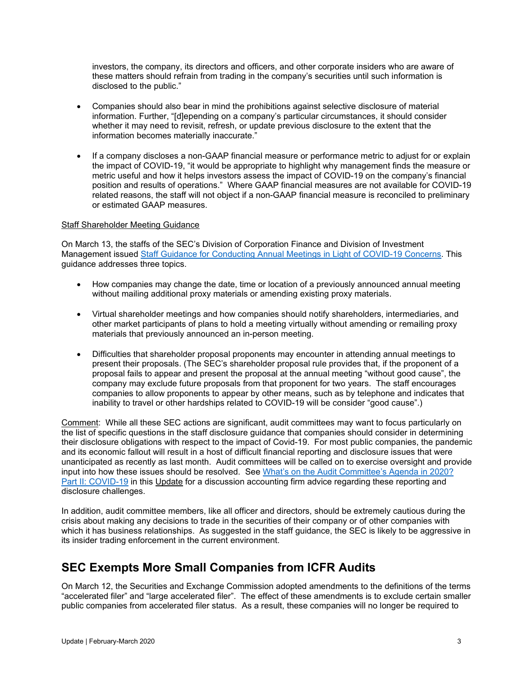investors, the company, its directors and officers, and other corporate insiders who are aware of these matters should refrain from trading in the company's securities until such information is disclosed to the public."

- Companies should also bear in mind the prohibitions against selective disclosure of material information. Further, "[d]epending on a company's particular circumstances, it should consider whether it may need to revisit, refresh, or update previous disclosure to the extent that the information becomes materially inaccurate."
- If a company discloses a non-GAAP financial measure or performance metric to adjust for or explain the impact of COVID-19, "it would be appropriate to highlight why management finds the measure or metric useful and how it helps investors assess the impact of COVID-19 on the company's financial position and results of operations." Where GAAP financial measures are not available for COVID-19 related reasons, the staff will not object if a non-GAAP financial measure is reconciled to preliminary or estimated GAAP measures.

#### Staff Shareholder Meeting Guidance

On March 13, the staffs of the SEC's Division of Corporation Finance and Division of Investment Management issued [Staff Guidance for Conducting Annual Meetings in Light of](https://business.cch.com/srd/SECgov_StaffGuidanceforConductingAnnualMeetingsinLightofCOVID-19Concerns.pdf) COVID-19 Concerns. This guidance addresses three topics.

- How companies may change the date, time or location of a previously announced annual meeting without mailing additional proxy materials or amending existing proxy materials.
- Virtual shareholder meetings and how companies should notify shareholders, intermediaries, and other market participants of plans to hold a meeting virtually without amending or remailing proxy materials that previously announced an in-person meeting.
- Difficulties that shareholder proposal proponents may encounter in attending annual meetings to present their proposals. (The SEC's shareholder proposal rule provides that, if the proponent of a proposal fails to appear and present the proposal at the annual meeting "without good cause", the company may exclude future proposals from that proponent for two years. The staff encourages companies to allow proponents to appear by other means, such as by telephone and indicates that inability to travel or other hardships related to COVID-19 will be consider "good cause".)

Comment: While all these SEC actions are significant, audit committees may want to focus particularly on the list of specific questions in the staff disclosure guidance that companies should consider in determining their disclosure obligations with respect to the impact of Covid-19. For most public companies, the pandemic and its economic fallout will result in a host of difficult financial reporting and disclosure issues that were unanticipated as recently as last month. Audit committees will be called on to exercise oversight and provide input into how these issues should be resolved. See [What's on the Audit Committee's Agenda in 2020?](#page-6-0)  [Part II: COVID-19](#page-6-0) in this Update for a discussion accounting firm advice regarding these reporting and disclosure challenges.

In addition, audit committee members, like all officer and directors, should be extremely cautious during the crisis about making any decisions to trade in the securities of their company or of other companies with which it has business relationships. As suggested in the staff guidance, the SEC is likely to be aggressive in its insider trading enforcement in the current environment.

### <span id="page-2-0"></span>**SEC Exempts More Small Companies from ICFR Audits**

On March 12, the Securities and Exchange Commission adopted amendments to the definitions of the terms "accelerated filer" and "large accelerated filer". The effect of these amendments is to exclude certain smaller public companies from accelerated filer status. As a result, these companies will no longer be required to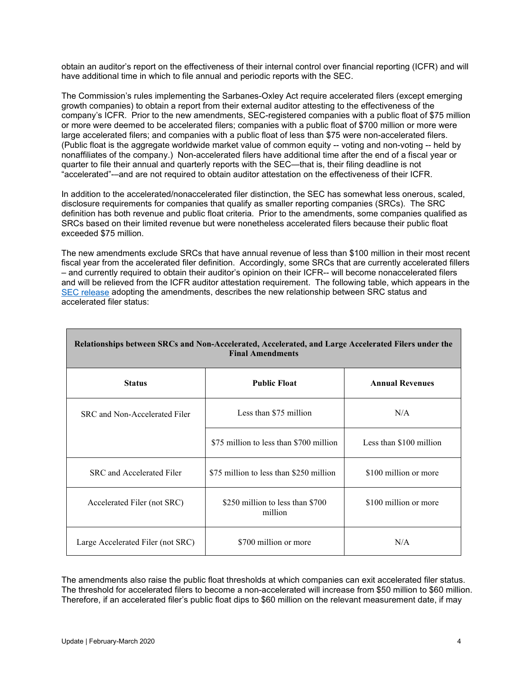obtain an auditor's report on the effectiveness of their internal control over financial reporting (ICFR) and will have additional time in which to file annual and periodic reports with the SEC.

The Commission's rules implementing the Sarbanes-Oxley Act require accelerated filers (except emerging growth companies) to obtain a report from their external auditor attesting to the effectiveness of the company's ICFR. Prior to the new amendments, SEC-registered companies with a public float of \$75 million or more were deemed to be accelerated filers; companies with a public float of \$700 million or more were large accelerated filers; and companies with a public float of less than \$75 were non-accelerated filers. (Public float is the aggregate worldwide market value of common equity -- voting and non-voting -- held by nonaffiliates of the company.) Non-accelerated filers have additional time after the end of a fiscal year or quarter to file their annual and quarterly reports with the SEC—that is, their filing deadline is not "accelerated"-–and are not required to obtain auditor attestation on the effectiveness of their ICFR.

In addition to the accelerated/nonaccelerated filer distinction, the SEC has somewhat less onerous, scaled, disclosure requirements for companies that qualify as smaller reporting companies (SRCs). The SRC definition has both revenue and public float criteria. Prior to the amendments, some companies qualified as SRCs based on their limited revenue but were nonetheless accelerated filers because their public float exceeded \$75 million.

The new amendments exclude SRCs that have annual revenue of less than \$100 million in their most recent fiscal year from the accelerated filer definition. Accordingly, some SRCs that are currently accelerated fillers – and currently required to obtain their auditor's opinion on their ICFR-- will become nonaccelerated filers and will be relieved from the ICFR auditor attestation requirement. The following table, which appears in the [SEC release](https://www.sec.gov/rules/final/2020/34-88365.pdf) adopting the amendments, describes the new relationship between SRC status and accelerated filer status:

| Relationships between SRCs and Non-Accelerated, Accelerated, and Large Accelerated Filers under the<br><b>Final Amendments</b> |                                             |                         |
|--------------------------------------------------------------------------------------------------------------------------------|---------------------------------------------|-------------------------|
| <b>Status</b>                                                                                                                  | <b>Public Float</b>                         | <b>Annual Revenues</b>  |
| SRC and Non-Accelerated Filer                                                                                                  | Less than \$75 million                      | N/A                     |
|                                                                                                                                | \$75 million to less than \$700 million     | Less than \$100 million |
| SRC and Accelerated Filer                                                                                                      | \$75 million to less than \$250 million     | \$100 million or more   |
| Accelerated Filer (not SRC)                                                                                                    | \$250 million to less than \$700<br>million | \$100 million or more   |
| Large Accelerated Filer (not SRC)                                                                                              | \$700 million or more                       | N/A                     |

The amendments also raise the public float thresholds at which companies can exit accelerated filer status. The threshold for accelerated filers to become a non-accelerated will increase from \$50 million to \$60 million. Therefore, if an accelerated filer's public float dips to \$60 million on the relevant measurement date, if may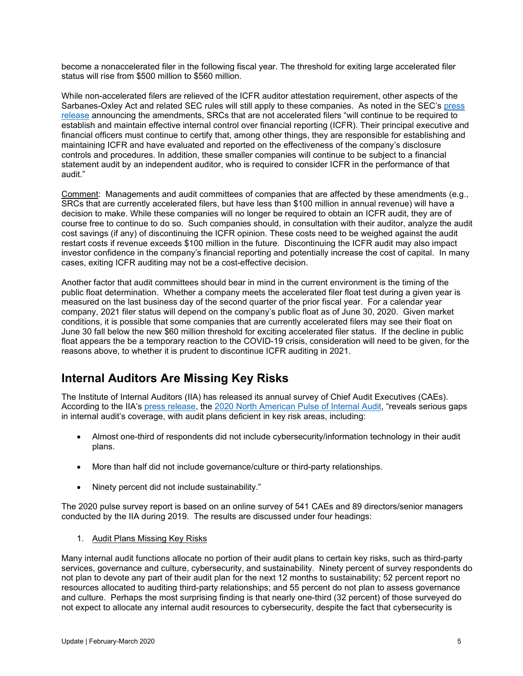become a nonaccelerated filer in the following fiscal year. The threshold for exiting large accelerated filer status will rise from \$500 million to \$560 million.

While non-accelerated filers are relieved of the ICFR auditor attestation requirement, other aspects of the Sarbanes-Oxley Act and related SEC rules will still apply to these companies. As noted in the SEC's [press](https://www.sec.gov/news/press-release/2020-58)  [release](https://www.sec.gov/news/press-release/2020-58) announcing the amendments, SRCs that are not accelerated filers "will continue to be required to establish and maintain effective internal control over financial reporting (ICFR). Their principal executive and financial officers must continue to certify that, among other things, they are responsible for establishing and maintaining ICFR and have evaluated and reported on the effectiveness of the company's disclosure controls and procedures. In addition, these smaller companies will continue to be subject to a financial statement audit by an independent auditor, who is required to consider ICFR in the performance of that audit."

Comment: Managements and audit committees of companies that are affected by these amendments (e.g., SRCs that are currently accelerated filers, but have less than \$100 million in annual revenue) will have a decision to make. While these companies will no longer be required to obtain an ICFR audit, they are of course free to continue to do so. Such companies should, in consultation with their auditor, analyze the audit cost savings (if any) of discontinuing the ICFR opinion. These costs need to be weighed against the audit restart costs if revenue exceeds \$100 million in the future. Discontinuing the ICFR audit may also impact investor confidence in the company's financial reporting and potentially increase the cost of capital. In many cases, exiting ICFR auditing may not be a cost-effective decision.

Another factor that audit committees should bear in mind in the current environment is the timing of the public float determination. Whether a company meets the accelerated filer float test during a given year is measured on the last business day of the second quarter of the prior fiscal year. For a calendar year company, 2021 filer status will depend on the company's public float as of June 30, 2020. Given market conditions, it is possible that some companies that are currently accelerated filers may see their float on June 30 fall below the new \$60 million threshold for exciting accelerated filer status. If the decline in public float appears the be a temporary reaction to the COVID-19 crisis, consideration will need to be given, for the reasons above, to whether it is prudent to discontinue ICFR auditing in 2021.

# <span id="page-4-0"></span>**Internal Auditors Are Missing Key Risks**

The Institute of Internal Auditors (IIA) has released its annual survey of Chief Audit Executives (CAEs). According to the IIA's [press release,](https://na.theiia.org/news/Pages/2020-Pulse-of-Internal-Audit-Uncovers-Critical-Gaps-in-Risk-Coverage.aspx) the 2020 [North American Pulse of Internal Audit,](http://theiia.mkt5790.com/2020_Pulse_of_Internal_Audit/?webSyncID=7ed293b1-8b7b-1260-6918-74e66a58a385&sessionGUID=0810e235-81cb-25ab-5199-76668a202024) "reveals serious gaps in internal audit's coverage, with audit plans deficient in key risk areas, including:

- Almost one-third of respondents did not include cybersecurity/information technology in their audit plans.
- More than half did not include governance/culture or third-party relationships.
- Ninety percent did not include sustainability."

The 2020 pulse survey report is based on an online survey of 541 CAEs and 89 directors/senior managers conducted by the IIA during 2019. The results are discussed under four headings:

1. Audit Plans Missing Key Risks

Many internal audit functions allocate no portion of their audit plans to certain key risks, such as third-party services, governance and culture, cybersecurity, and sustainability. Ninety percent of survey respondents do not plan to devote any part of their audit plan for the next 12 months to sustainability; 52 percent report no resources allocated to auditing third-party relationships; and 55 percent do not plan to assess governance and culture. Perhaps the most surprising finding is that nearly one-third (32 percent) of those surveyed do not expect to allocate any internal audit resources to cybersecurity, despite the fact that cybersecurity is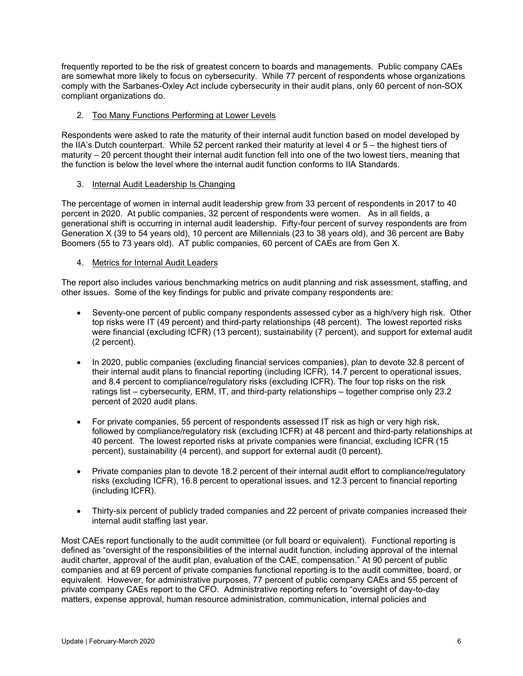frequently reported to be the risk of greatest concern to boards and managements. Public company CAEs are somewhat more likely to focus on cybersecurity. While 77 percent of respondents whose organizations comply with the Sarbanes-Oxley Act include cybersecurity in their audit plans, only 60 percent of non-SOX compliant organizations do.

#### 2. Too Many Functions Performing at Lower Levels

Respondents were asked to rate the maturity of their internal audit function based on model developed by the IIA's Dutch counterpart. While 52 percent ranked their maturity at level 4 or 5 – the highest tiers of maturity – 20 percent thought their internal audit function fell into one of the two lowest tiers, meaning that the function is below the level where the internal audit function conforms to IIA Standards.

#### 3. Internal Audit Leadership Is Changing

The percentage of women in internal audit leadership grew from 33 percent of respondents in 2017 to 40 percent in 2020. At public companies, 32 percent of respondents were women. As in all fields, a generational shift is occurring in internal audit leadership. Fifty-four percent of survey respondents are from Generation X (39 to 54 years old), 10 percent are Millennials (23 to 38 years old), and 36 percent are Baby Boomers (55 to 73 years old). AT public companies, 60 percent of CAEs are from Gen X.

#### 4. Metrics for Internal Audit Leaders

The report also includes various benchmarking metrics on audit planning and risk assessment, staffing, and other issues. Some of the key findings for public and private company respondents are:

- Seventy-one percent of public company respondents assessed cyber as a high/very high risk. Other top risks were IT (49 percent) and third-party relationships (48 percent). The lowest reported risks were financial (excluding ICFR) (13 percent), sustainability (7 percent), and support for external audit (2 percent).
- In 2020, public companies (excluding financial services companies), plan to devote 32.8 percent of their internal audit plans to financial reporting (including ICFR), 14.7 percent to operational issues, and 8.4 percent to compliance/regulatory risks (excluding ICFR). The four top risks on the risk ratings list – cybersecurity, ERM, IT, and third-party relationships – together comprise only 23.2 percent of 2020 audit plans.
- For private companies, 55 percent of respondents assessed IT risk as high or very high risk, followed by compliance/regulatory risk (excluding ICFR) at 48 percent and third-party relationships at 40 percent. The lowest reported risks at private companies were financial, excluding ICFR (15 percent), sustainability (4 percent), and support for external audit (0 percent).
- Private companies plan to devote 18.2 percent of their internal audit effort to compliance/regulatory risks (excluding ICFR), 16.8 percent to operational issues, and 12.3 percent to financial reporting (including ICFR).
- Thirty-six percent of publicly traded companies and 22 percent of private companies increased their internal audit staffing last year.

Most CAEs report functionally to the audit committee (or full board or equivalent). Functional reporting is defined as "oversight of the responsibilities of the internal audit function, including approval of the internal audit charter, approval of the audit plan, evaluation of the CAE, compensation." At 90 percent of public companies and at 69 percent of private companies functional reporting is to the audit committee, board, or equivalent. However, for administrative purposes, 77 percent of public company CAEs and 55 percent of private company CAEs report to the CFO. Administrative reporting refers to "oversight of day-to-day matters, expense approval, human resource administration, communication, internal policies and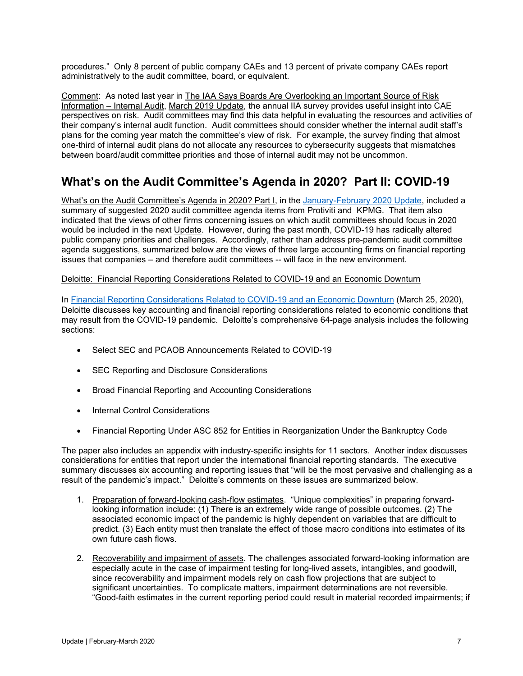procedures." Only 8 percent of public company CAEs and 13 percent of private company CAEs report administratively to the audit committee, board, or equivalent.

Comment: As noted last year in The IAA Says Boards Are Overlooking an Important Source of Risk Information – Internal Audit, March [2019 Update,](http://dgoelzer.com/AuditUpdateNo50.pdf) the annual IIA survey provides useful insight into CAE perspectives on risk. Audit committees may find this data helpful in evaluating the resources and activities of their company's internal audit function. Audit committees should consider whether the internal audit staff's plans for the coming year match the committee's view of risk. For example, the survey finding that almost one-third of internal audit plans do not allocate any resources to cybersecurity suggests that mismatches between board/audit committee priorities and those of internal audit may not be uncommon.

# <span id="page-6-0"></span>**What's on the Audit Committee's Agenda in 2020? Part II: COVID-19**

What's on the Audit Committee's Agenda in 2020? Part I, in the [January-February 2020 Update,](http://dgoelzer.com/AuditUpdateNo57.pdf) included a summary of suggested 2020 audit committee agenda items from Protiviti and KPMG. That item also indicated that the views of other firms concerning issues on which audit committees should focus in 2020 would be included in the next Update. However, during the past month, COVID-19 has radically altered public company priorities and challenges. Accordingly, rather than address pre-pandemic audit committee agenda suggestions, summarized below are the views of three large accounting firms on financial reporting issues that companies – and therefore audit committees -- will face in the new environment.

#### Deloitte: Financial Reporting Considerations Related to COVID-19 and an Economic Downturn

In [Financial Reporting Considerations Related to COVID-19 and an Economic Downturn](https://dart.deloitte.com/USDART/home/publications/deloitte/financial-reporting-alerts/2020/financial-reporting-considerations-economic-downturn-covid) (March 25, 2020), Deloitte discusses key accounting and financial reporting considerations related to economic conditions that may result from the COVID-19 pandemic. Deloitte's comprehensive 64-page analysis includes the following sections:

- Select SEC and PCAOB Announcements Related to COVID-19
- SEC Reporting and Disclosure Considerations
- Broad Financial Reporting and Accounting Considerations
- Internal Control Considerations
- Financial Reporting Under ASC 852 for Entities in Reorganization Under the Bankruptcy Code

The paper also includes an appendix with industry-specific insights for 11 sectors. Another index discusses considerations for entities that report under the international financial reporting standards. The executive summary discusses six accounting and reporting issues that "will be the most pervasive and challenging as a result of the pandemic's impact." Deloitte's comments on these issues are summarized below.

- 1. Preparation of forward-looking cash-flow estimates. "Unique complexities" in preparing forwardlooking information include: (1) There is an extremely wide range of possible outcomes. (2) The associated economic impact of the pandemic is highly dependent on variables that are difficult to predict. (3) Each entity must then translate the effect of those macro conditions into estimates of its own future cash flows.
- 2. Recoverability and impairment of assets. The challenges associated forward-looking information are especially acute in the case of impairment testing for long-lived assets, intangibles, and goodwill, since recoverability and impairment models rely on cash flow projections that are subject to significant uncertainties. To complicate matters, impairment determinations are not reversible. "Good-faith estimates in the current reporting period could result in material recorded impairments; if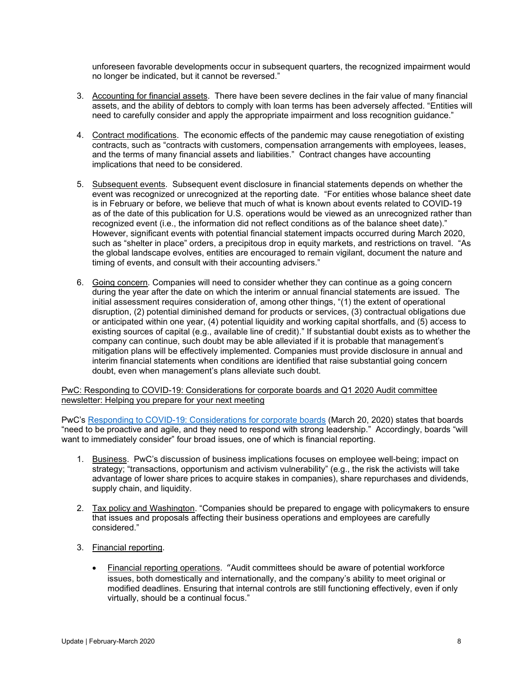unforeseen favorable developments occur in subsequent quarters, the recognized impairment would no longer be indicated, but it cannot be reversed."

- 3. Accounting for financial assets. There have been severe declines in the fair value of many financial assets, and the ability of debtors to comply with loan terms has been adversely affected. "Entities will need to carefully consider and apply the appropriate impairment and loss recognition guidance."
- 4. Contract modifications. The economic effects of the pandemic may cause renegotiation of existing contracts, such as "contracts with customers, compensation arrangements with employees, leases, and the terms of many financial assets and liabilities." Contract changes have accounting implications that need to be considered.
- 5. Subsequent events. Subsequent event disclosure in financial statements depends on whether the event was recognized or unrecognized at the reporting date. "For entities whose balance sheet date is in February or before, we believe that much of what is known about events related to COVID-19 as of the date of this publication for U.S. operations would be viewed as an unrecognized rather than recognized event (i.e., the information did not reflect conditions as of the balance sheet date)." However, significant events with potential financial statement impacts occurred during March 2020, such as "shelter in place" orders, a precipitous drop in equity markets, and restrictions on travel. "As the global landscape evolves, entities are encouraged to remain vigilant, document the nature and timing of events, and consult with their accounting advisers."
- 6. Going concern. Companies will need to consider whether they can continue as a going concern during the year after the date on which the interim or annual financial statements are issued. The initial assessment requires consideration of, among other things, "(1) the extent of operational disruption, (2) potential diminished demand for products or services, (3) contractual obligations due or anticipated within one year, (4) potential liquidity and working capital shortfalls, and (5) access to existing sources of capital (e.g., available line of credit)." If substantial doubt exists as to whether the company can continue, such doubt may be able alleviated if it is probable that management's mitigation plans will be effectively implemented. Companies must provide disclosure in annual and interim financial statements when conditions are identified that raise substantial going concern doubt, even when management's plans alleviate such doubt.

PwC: Responding to COVID-19: Considerations for corporate boards and Q1 2020 Audit committee newsletter: Helping you prepare for your next meeting

PwC's [Responding to COVID-19: Considerations for corporate boards](https://www.pwc.com/us/en/library/covid-19/pdf/pwc-responding-to-covid-19-considerations-for-corporate-boards.pdf) (March 20, 2020) states that boards "need to be proactive and agile, and they need to respond with strong leadership." Accordingly, boards "will want to immediately consider" four broad issues, one of which is financial reporting.

- 1. Business. PwC's discussion of business implications focuses on employee well-being; impact on strategy; "transactions, opportunism and activism vulnerability" (e.g., the risk the activists will take advantage of lower share prices to acquire stakes in companies), share repurchases and dividends, supply chain, and liquidity.
- 2. Tax policy and Washington. "Companies should be prepared to engage with policymakers to ensure that issues and proposals affecting their business operations and employees are carefully considered."
- 3. Financial reporting.
	- Financial reporting operations. "Audit committees should be aware of potential workforce issues, both domestically and internationally, and the company's ability to meet original or modified deadlines. Ensuring that internal controls are still functioning effectively, even if only virtually, should be a continual focus."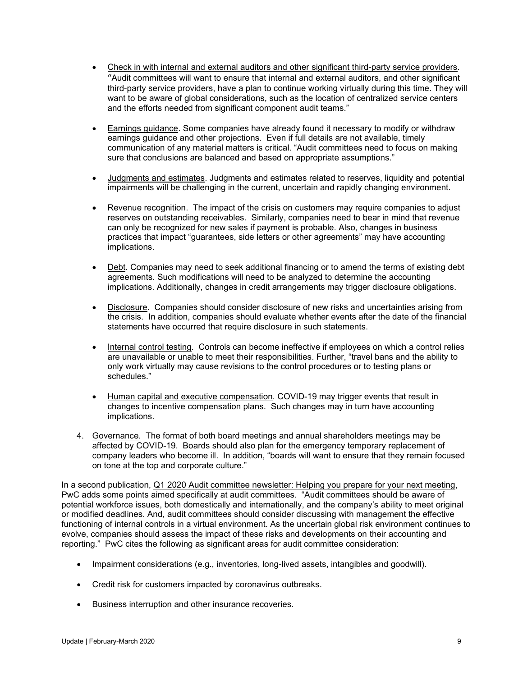- Check in with internal and external auditors and other significant third-party service providers. "Audit committees will want to ensure that internal and external auditors, and other significant third-party service providers, have a plan to continue working virtually during this time. They will want to be aware of global considerations, such as the location of centralized service centers and the efforts needed from significant component audit teams."
- Earnings guidance. Some companies have already found it necessary to modify or withdraw earnings guidance and other projections. Even if full details are not available, timely communication of any material matters is critical. "Audit committees need to focus on making sure that conclusions are balanced and based on appropriate assumptions."
- Judgments and estimates. Judgments and estimates related to reserves, liquidity and potential impairments will be challenging in the current, uncertain and rapidly changing environment.
- Revenue recognition. The impact of the crisis on customers may require companies to adjust reserves on outstanding receivables. Similarly, companies need to bear in mind that revenue can only be recognized for new sales if payment is probable. Also, changes in business practices that impact "guarantees, side letters or other agreements" may have accounting implications.
- Debt. Companies may need to seek additional financing or to amend the terms of existing debt agreements. Such modifications will need to be analyzed to determine the accounting implications. Additionally, changes in credit arrangements may trigger disclosure obligations.
- Disclosure. Companies should consider disclosure of new risks and uncertainties arising from the crisis. In addition, companies should evaluate whether events after the date of the financial statements have occurred that require disclosure in such statements.
- Internal control testing. Controls can become ineffective if employees on which a control relies are unavailable or unable to meet their responsibilities. Further, "travel bans and the ability to only work virtually may cause revisions to the control procedures or to testing plans or schedules."
- Human capital and executive compensation. COVID-19 may trigger events that result in changes to incentive compensation plans. Such changes may in turn have accounting implications.
- 4. Governance. The format of both board meetings and annual shareholders meetings may be affected by COVID-19. Boards should also plan for the emergency temporary replacement of company leaders who become ill. In addition, "boards will want to ensure that they remain focused on tone at the top and corporate culture."

In a second publication, Q1 2020 Audit committee newsletter: Helping you prepare for your next meeting, PwC adds some points aimed specifically at audit committees. "Audit committees should be aware of potential workforce issues, both domestically and internationally, and the company's ability to meet original or modified deadlines. And, audit committees should consider discussing with management the effective functioning of internal controls in a virtual environment. As the uncertain global risk environment continues to evolve, companies should assess the impact of these risks and developments on their accounting and reporting." PwC cites the following as significant areas for audit committee consideration:

- Impairment considerations (e.g., inventories, long-lived assets, intangibles and goodwill).
- Credit risk for customers impacted by coronavirus outbreaks.
- Business interruption and other insurance recoveries.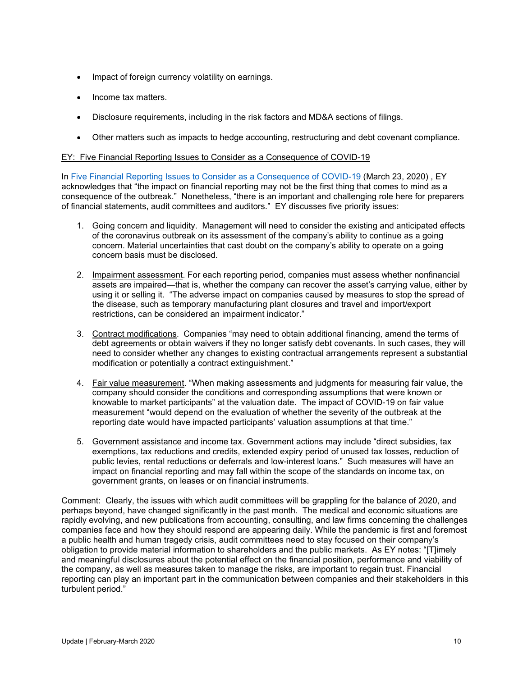- Impact of foreign currency volatility on earnings.
- Income tax matters.
- Disclosure requirements, including in the risk factors and MD&A sections of filings.
- Other matters such as impacts to hedge accounting, restructuring and debt covenant compliance.

#### EY: Five Financial Reporting Issues to Consider as a Consequence of COVID-19

In [Five Financial Reporting Issues to Consider as a Consequence of COVID-19](https://www.ey.com/en_gl/assurance/five-financial-reporting-issues-to-consider-as-a-consequence-of-covid-19) (March 23, 2020) , EY acknowledges that "the impact on financial reporting may not be the first thing that comes to mind as a consequence of the outbreak." Nonetheless, "there is an important and challenging role here for preparers of financial statements, audit committees and auditors." EY discusses five priority issues:

- 1. Going concern and liquidity. Management will need to consider the existing and anticipated effects of the coronavirus outbreak on its assessment of the company's ability to continue as a going concern. Material uncertainties that cast doubt on the company's ability to operate on a going concern basis must be disclosed.
- 2. Impairment assessment. For each reporting period, companies must assess whether nonfinancial assets are impaired—that is, whether the company can recover the asset's carrying value, either by using it or selling it. "The adverse impact on companies caused by measures to stop the spread of the disease, such as temporary manufacturing plant closures and travel and import/export restrictions, can be considered an impairment indicator."
- 3. Contract modifications. Companies "may need to obtain additional financing, amend the terms of debt agreements or obtain waivers if they no longer satisfy debt covenants. In such cases, they will need to consider whether any changes to existing contractual arrangements represent a substantial modification or potentially a contract extinguishment."
- 4. Fair value measurement. "When making assessments and judgments for measuring fair value, the company should consider the conditions and corresponding assumptions that were known or knowable to market participants" at the valuation date. The impact of COVID-19 on fair value measurement "would depend on the evaluation of whether the severity of the outbreak at the reporting date would have impacted participants' valuation assumptions at that time."
- 5. Government assistance and income tax. Government actions may include "direct subsidies, tax exemptions, tax reductions and credits, extended expiry period of unused tax losses, reduction of public levies, rental reductions or deferrals and low-interest loans." Such measures will have an impact on financial reporting and may fall within the scope of the standards on income tax, on government grants, on leases or on financial instruments.

Comment: Clearly, the issues with which audit committees will be grappling for the balance of 2020, and perhaps beyond, have changed significantly in the past month. The medical and economic situations are rapidly evolving, and new publications from accounting, consulting, and law firms concerning the challenges companies face and how they should respond are appearing daily. While the pandemic is first and foremost a public health and human tragedy crisis, audit committees need to stay focused on their company's obligation to provide material information to shareholders and the public markets. As EY notes: "[T]imely and meaningful disclosures about the potential effect on the financial position, performance and viability of the company, as well as measures taken to manage the risks, are important to regain trust. Financial reporting can play an important part in the communication between companies and their stakeholders in this turbulent period."